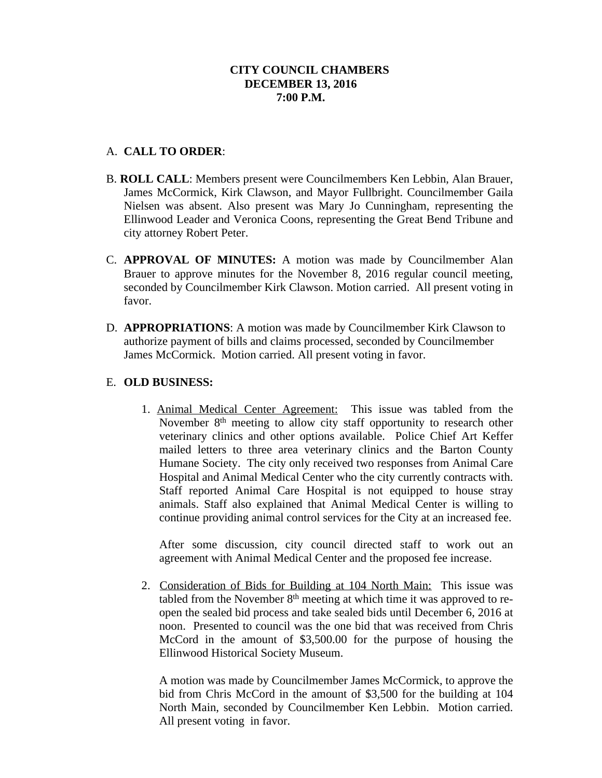# A. **CALL TO ORDER**:

- B. **ROLL CALL**: Members present were Councilmembers Ken Lebbin, Alan Brauer, James McCormick, Kirk Clawson, and Mayor Fullbright. Councilmember Gaila Nielsen was absent. Also present was Mary Jo Cunningham, representing the Ellinwood Leader and Veronica Coons, representing the Great Bend Tribune and city attorney Robert Peter.
- C. **APPROVAL OF MINUTES:** A motion was made by Councilmember Alan Brauer to approve minutes for the November 8, 2016 regular council meeting, seconded by Councilmember Kirk Clawson. Motion carried. All present voting in favor.
- D. **APPROPRIATIONS**: A motion was made by Councilmember Kirk Clawson to authorize payment of bills and claims processed, seconded by Councilmember James McCormick. Motion carried. All present voting in favor.

## E. **OLD BUSINESS:**

1. Animal Medical Center Agreement: This issue was tabled from the November 8<sup>th</sup> meeting to allow city staff opportunity to research other veterinary clinics and other options available. Police Chief Art Keffer mailed letters to three area veterinary clinics and the Barton County Humane Society. The city only received two responses from Animal Care Hospital and Animal Medical Center who the city currently contracts with. Staff reported Animal Care Hospital is not equipped to house stray animals. Staff also explained that Animal Medical Center is willing to continue providing animal control services for the City at an increased fee.

After some discussion, city council directed staff to work out an agreement with Animal Medical Center and the proposed fee increase.

2. Consideration of Bids for Building at 104 North Main: This issue was tabled from the November  $8<sup>th</sup>$  meeting at which time it was approved to reopen the sealed bid process and take sealed bids until December 6, 2016 at noon. Presented to council was the one bid that was received from Chris McCord in the amount of \$3,500.00 for the purpose of housing the Ellinwood Historical Society Museum.

A motion was made by Councilmember James McCormick, to approve the bid from Chris McCord in the amount of \$3,500 for the building at 104 North Main, seconded by Councilmember Ken Lebbin. Motion carried. All present voting in favor.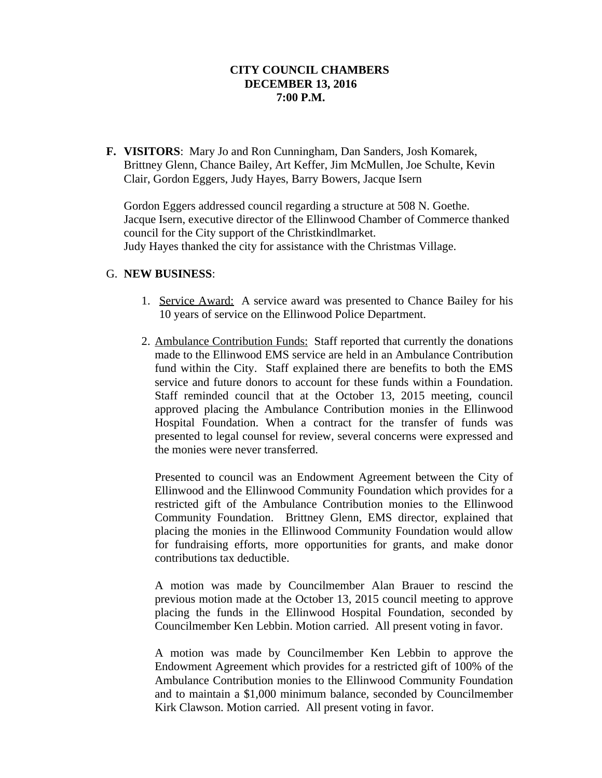**F. VISITORS**: Mary Jo and Ron Cunningham, Dan Sanders, Josh Komarek, Brittney Glenn, Chance Bailey, Art Keffer, Jim McMullen, Joe Schulte, Kevin Clair, Gordon Eggers, Judy Hayes, Barry Bowers, Jacque Isern

Gordon Eggers addressed council regarding a structure at 508 N. Goethe. Jacque Isern, executive director of the Ellinwood Chamber of Commerce thanked council for the City support of the Christkindlmarket. Judy Hayes thanked the city for assistance with the Christmas Village.

## G. **NEW BUSINESS**:

- 1. Service Award: A service award was presented to Chance Bailey for his 10 years of service on the Ellinwood Police Department.
- 2. Ambulance Contribution Funds: Staff reported that currently the donations made to the Ellinwood EMS service are held in an Ambulance Contribution fund within the City. Staff explained there are benefits to both the EMS service and future donors to account for these funds within a Foundation. Staff reminded council that at the October 13, 2015 meeting, council approved placing the Ambulance Contribution monies in the Ellinwood Hospital Foundation. When a contract for the transfer of funds was presented to legal counsel for review, several concerns were expressed and the monies were never transferred.

Presented to council was an Endowment Agreement between the City of Ellinwood and the Ellinwood Community Foundation which provides for a restricted gift of the Ambulance Contribution monies to the Ellinwood Community Foundation. Brittney Glenn, EMS director, explained that placing the monies in the Ellinwood Community Foundation would allow for fundraising efforts, more opportunities for grants, and make donor contributions tax deductible.

A motion was made by Councilmember Alan Brauer to rescind the previous motion made at the October 13, 2015 council meeting to approve placing the funds in the Ellinwood Hospital Foundation, seconded by Councilmember Ken Lebbin. Motion carried. All present voting in favor.

A motion was made by Councilmember Ken Lebbin to approve the Endowment Agreement which provides for a restricted gift of 100% of the Ambulance Contribution monies to the Ellinwood Community Foundation and to maintain a \$1,000 minimum balance, seconded by Councilmember Kirk Clawson. Motion carried. All present voting in favor.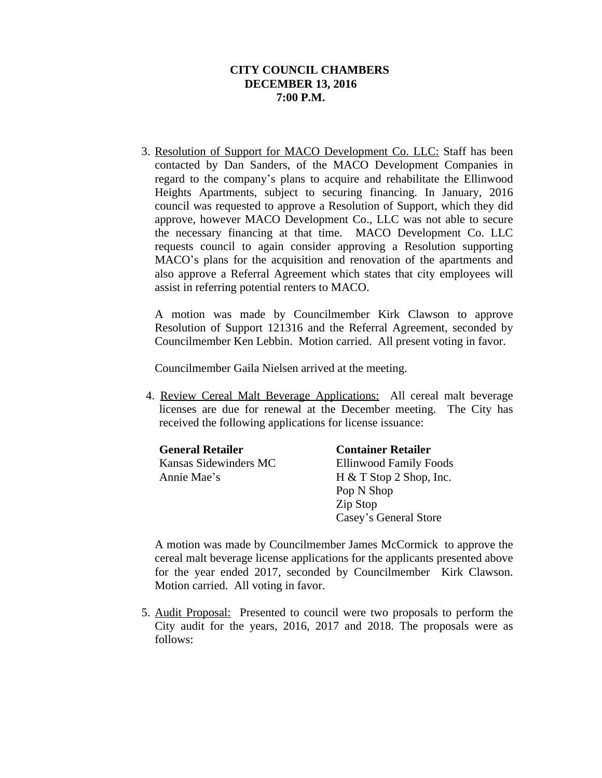3. Resolution of Support for MACO Development Co. LLC: Staff has been contacted by Dan Sanders, of the MACO Development Companies in regard to the company's plans to acquire and rehabilitate the Ellinwood Heights Apartments, subject to securing financing. In January, 2016 council was requested to approve a Resolution of Support, which they did approve, however MACO Development Co., LLC was not able to secure the necessary financing at that time. MACO Development Co. LLC requests council to again consider approving a Resolution supporting MACO's plans for the acquisition and renovation of the apartments and also approve a Referral Agreement which states that city employees will assist in referring potential renters to MACO.

A motion was made by Councilmember Kirk Clawson to approve Resolution of Support 121316 and the Referral Agreement, seconded by Councilmember Ken Lebbin. Motion carried. All present voting in favor.

Councilmember Gaila Nielsen arrived at the meeting.

4. Review Cereal Malt Beverage Applications: All cereal malt beverage licenses are due for renewal at the December meeting. The City has received the following applications for license issuance:

| <b>General Retailer</b> | <b>Container Retailer</b>     |
|-------------------------|-------------------------------|
| Kansas Sidewinders MC   | <b>Ellinwood Family Foods</b> |
| Annie Mae's             | $H & T$ Stop 2 Shop, Inc.     |
|                         | Pop N Shop                    |
|                         | Zip Stop                      |
|                         | Casey's General Store         |

A motion was made by Councilmember James McCormick to approve the cereal malt beverage license applications for the applicants presented above for the year ended 2017, seconded by Councilmember Kirk Clawson. Motion carried. All voting in favor.

5. Audit Proposal: Presented to council were two proposals to perform the City audit for the years, 2016, 2017 and 2018. The proposals were as follows: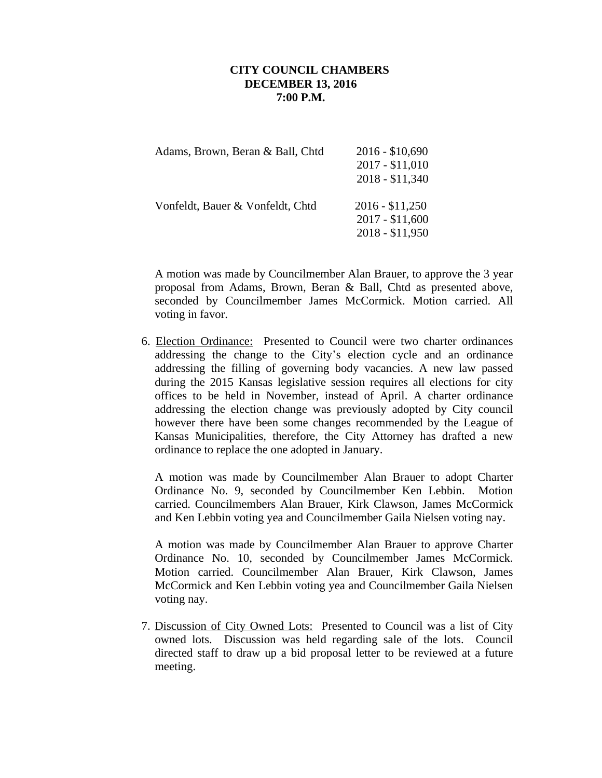| Adams, Brown, Beran & Ball, Chtd | $2016 - $10,690$<br>2017 - \$11,010<br>$2018 - $11,340$ |
|----------------------------------|---------------------------------------------------------|
| Vonfeldt, Bauer & Vonfeldt, Chtd | $2016 - $11,250$<br>2017 - \$11,600<br>$2018 - $11,950$ |

A motion was made by Councilmember Alan Brauer, to approve the 3 year proposal from Adams, Brown, Beran & Ball, Chtd as presented above, seconded by Councilmember James McCormick. Motion carried. All voting in favor.

6. Election Ordinance: Presented to Council were two charter ordinances addressing the change to the City's election cycle and an ordinance addressing the filling of governing body vacancies. A new law passed during the 2015 Kansas legislative session requires all elections for city offices to be held in November, instead of April. A charter ordinance addressing the election change was previously adopted by City council however there have been some changes recommended by the League of Kansas Municipalities, therefore, the City Attorney has drafted a new ordinance to replace the one adopted in January.

A motion was made by Councilmember Alan Brauer to adopt Charter Ordinance No. 9, seconded by Councilmember Ken Lebbin. Motion carried. Councilmembers Alan Brauer, Kirk Clawson, James McCormick and Ken Lebbin voting yea and Councilmember Gaila Nielsen voting nay.

A motion was made by Councilmember Alan Brauer to approve Charter Ordinance No. 10, seconded by Councilmember James McCormick. Motion carried. Councilmember Alan Brauer, Kirk Clawson, James McCormick and Ken Lebbin voting yea and Councilmember Gaila Nielsen voting nay.

7. Discussion of City Owned Lots: Presented to Council was a list of City owned lots. Discussion was held regarding sale of the lots. Council directed staff to draw up a bid proposal letter to be reviewed at a future meeting.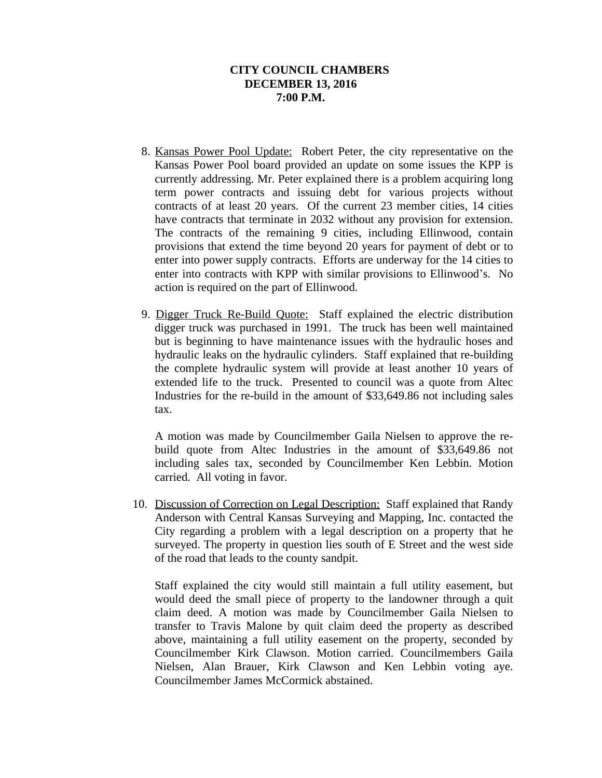- 8. Kansas Power Pool Update: Robert Peter, the city representative on the Kansas Power Pool board provided an update on some issues the KPP is currently addressing. Mr. Peter explained there is a problem acquiring long term power contracts and issuing debt for various projects without contracts of at least 20 years. Of the current 23 member cities, 14 cities have contracts that terminate in 2032 without any provision for extension. The contracts of the remaining 9 cities, including Ellinwood, contain provisions that extend the time beyond 20 years for payment of debt or to enter into power supply contracts. Efforts are underway for the 14 cities to enter into contracts with KPP with similar provisions to Ellinwood's. No action is required on the part of Ellinwood.
- 9. Digger Truck Re-Build Quote: Staff explained the electric distribution digger truck was purchased in 1991. The truck has been well maintained but is beginning to have maintenance issues with the hydraulic hoses and hydraulic leaks on the hydraulic cylinders. Staff explained that re-building the complete hydraulic system will provide at least another 10 years of extended life to the truck. Presented to council was a quote from Altec Industries for the re-build in the amount of \$33,649.86 not including sales tax.

A motion was made by Councilmember Gaila Nielsen to approve the rebuild quote from Altec Industries in the amount of \$33,649.86 not including sales tax, seconded by Councilmember Ken Lebbin. Motion carried. All voting in favor.

 10. Discussion of Correction on Legal Description: Staff explained that Randy Anderson with Central Kansas Surveying and Mapping, Inc. contacted the City regarding a problem with a legal description on a property that he surveyed. The property in question lies south of E Street and the west side of the road that leads to the county sandpit.

Staff explained the city would still maintain a full utility easement, but would deed the small piece of property to the landowner through a quit claim deed. A motion was made by Councilmember Gaila Nielsen to transfer to Travis Malone by quit claim deed the property as described above, maintaining a full utility easement on the property, seconded by Councilmember Kirk Clawson. Motion carried. Councilmembers Gaila Nielsen, Alan Brauer, Kirk Clawson and Ken Lebbin voting aye. Councilmember James McCormick abstained.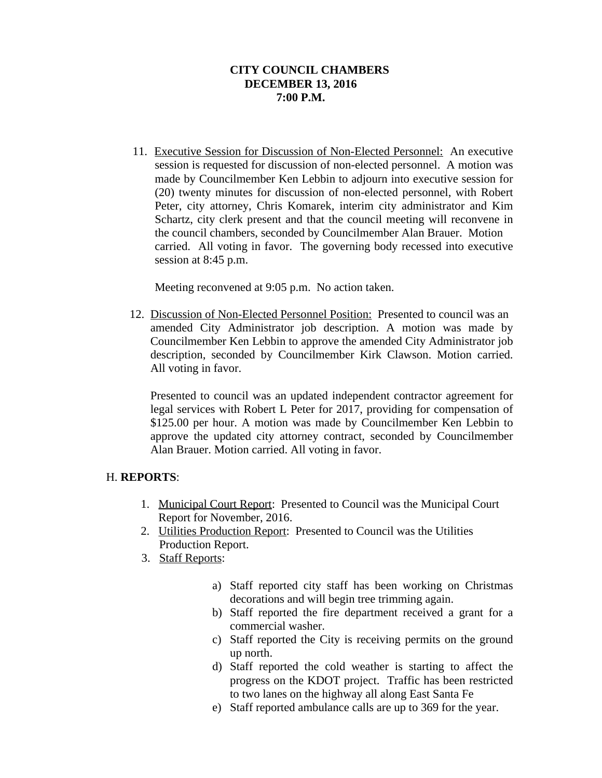11. Executive Session for Discussion of Non-Elected Personnel: An executive session is requested for discussion of non-elected personnel. A motion was made by Councilmember Ken Lebbin to adjourn into executive session for (20) twenty minutes for discussion of non-elected personnel, with Robert Peter, city attorney, Chris Komarek, interim city administrator and Kim Schartz, city clerk present and that the council meeting will reconvene in the council chambers, seconded by Councilmember Alan Brauer. Motion carried. All voting in favor. The governing body recessed into executive session at 8:45 p.m.

Meeting reconvened at 9:05 p.m. No action taken.

 12. Discussion of Non-Elected Personnel Position: Presented to council was an amended City Administrator job description. A motion was made by Councilmember Ken Lebbin to approve the amended City Administrator job description, seconded by Councilmember Kirk Clawson. Motion carried. All voting in favor.

Presented to council was an updated independent contractor agreement for legal services with Robert L Peter for 2017, providing for compensation of \$125.00 per hour. A motion was made by Councilmember Ken Lebbin to approve the updated city attorney contract, seconded by Councilmember Alan Brauer. Motion carried. All voting in favor.

## H. **REPORTS**:

- 1. Municipal Court Report: Presented to Council was the Municipal Court Report for November, 2016.
- 2. Utilities Production Report: Presented to Council was the Utilities Production Report.
- 3. Staff Reports:
	- a) Staff reported city staff has been working on Christmas decorations and will begin tree trimming again.
	- b) Staff reported the fire department received a grant for a commercial washer.
	- c) Staff reported the City is receiving permits on the ground up north.
	- d) Staff reported the cold weather is starting to affect the progress on the KDOT project. Traffic has been restricted to two lanes on the highway all along East Santa Fe
	- e) Staff reported ambulance calls are up to 369 for the year.